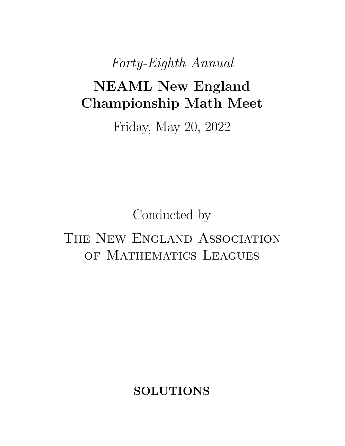*Forty-Eighth Annual*

# NEAML New England Championship Math Meet

Friday, May 20, 2022

Conducted by

## THE NEW ENGLAND ASSOCIATION OF MATHEMATICS LEAGUES

SOLUTIONS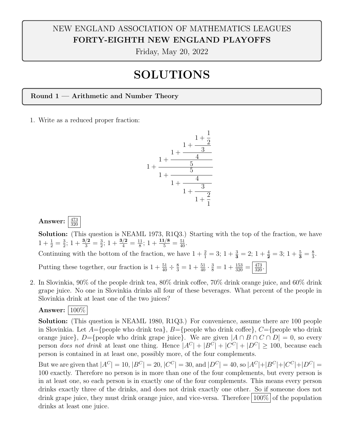## NEW ENGLAND ASSOCIATION OF MATHEMATICS LEAGUES FORTY-EIGHTH NEW ENGLAND PLAYOFFS

Friday, May 20, 2022

## SOLUTIONS

Round 1 — Arithmetic and Number Theory

1. Write as a reduced proper fraction:



#### Answer:  $\frac{473}{320}$

Solution: (This question is NEAML 1973, R1Q3.) Starting with the top of the fraction, we have  $1 + \frac{1}{2} = \frac{3}{2}$ ;  $1 + \frac{3/2}{3} = \frac{3}{2}$ ;  $1 + \frac{3/2}{4} = \frac{11}{8}$ ;  $1 + \frac{11/8}{5} = \frac{51}{40}$ .

Continuing with the bottom of the fraction, we have  $1 + \frac{2}{1} = 3$ ;  $1 + \frac{3}{3} = 2$ ;  $1 + \frac{4}{2} = 3$ ;  $1 + \frac{5}{3} = \frac{8}{3}$ . Putting these together, our fraction is  $1 + \frac{51}{40} \div \frac{8}{3} = 1 + \frac{51}{40} \cdot \frac{3}{8} = 1 + \frac{153}{320} = \frac{473}{320}$ .

2. In Slovinkia,  $90\%$  of the people drink tea,  $80\%$  drink coffee,  $70\%$  drink orange juice, and  $60\%$  drink grape juice. No one in Slovinkia drinks all four of these beverages. What percent of the people in Slovinkia drink at least one of the two juices?

Answer:  $100\%$ 

Solution: (This question is NEAML 1980, R1Q3.) For convenience, assume there are 100 people in Slovinkia. Let  $A = \{$ people who drink tea $\}$ ,  $B = \{$ people who drink coffee $\}$ ,  $C = \{$ people who drink orange juice},  $D = \{$ people who drink grape juice}. We are given  $|A \cap B \cap C \cap D| = 0$ , so every person *does not drink* at least one thing. Hence  $|A^C| + |B^C| + |C^C| + |D^C| \ge 100$ , because each person is contained in at least one, possibly more, of the four complements.

But we are given that  $|A^C| = 10$ ,  $|B^C| = 20$ ,  $|C^C| = 30$ , and  $|D^C| = 40$ , so  $|A^C| + |B^C| + |C^C| + |D^C| =$ 100 exactly. Therefore no person is in more than one of the four complements, but every person is in at least one, so each person is in exactly one of the four complements. This means every person drinks exactly three of the drinks, and does not drink exactly one other. So if someone does not drink grape juice, they must drink orange juice, and vice-versa. Therefore  $100\%$  of the population drinks at least one juice.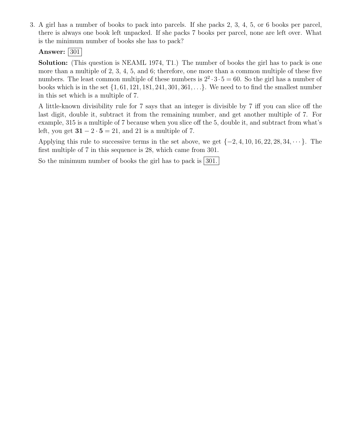3. A girl has a number of books to pack into parcels. If she packs 2, 3, 4, 5, or 6 books per parcel, there is always one book left unpacked. If she packs 7 books per parcel, none are left over. What is the minimum number of books she has to pack?

#### Answer:  $|301|$

Solution: (This question is NEAML 1974, T1.) The number of books the girl has to pack is one more than a multiple of 2, 3, 4, 5, and 6; therefore, one more than a common multiple of these five numbers. The least common multiple of these numbers is  $2^2 \cdot 3 \cdot 5 = 60$ . So the girl has a number of books which is in the set *{*1*,* 61*,* 121*,* 181*,* 241*,* 301*,* 361*,...}*. We need to to find the smallest number in this set which is a multiple of 7.

A little-known divisibility rule for 7 says that an integer is divisible by 7 iff you can slice off the last digit, double it, subtract it from the remaining number, and get another multiple of 7. For example, 315 is a multiple of 7 because when you slice off the 5, double it, and subtract from what's left, you get  $31 - 2 \cdot 5 = 21$ , and 21 is a multiple of 7.

Applying this rule to successive terms in the set above, we get  $\{-2, 4, 10, 16, 22, 28, 34, \cdots\}$ . The first multiple of 7 in this sequence is 28, which came from 301.

So the minimum number of books the girl has to pack is  $|301|$ .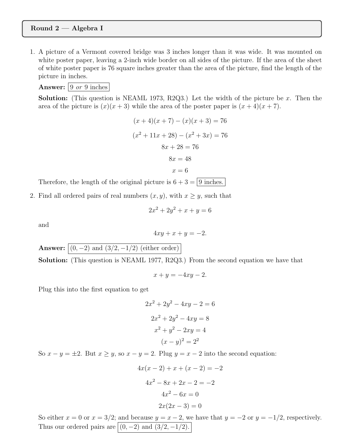#### Round 2 — Algebra I

1. A picture of a Vermont covered bridge was 3 inches longer than it was wide. It was mounted on white poster paper, leaving a 2-inch wide border on all sides of the picture. If the area of the sheet of white poster paper is 76 square inches greater than the area of the picture, find the length of the picture in inches.

Answer: 9 *or* 9 inches

Solution: (This question is NEAML 1973, R2Q3.) Let the width of the picture be *x*. Then the area of the picture is  $(x)(x+3)$  while the area of the poster paper is  $(x+4)(x+7)$ .

$$
(x+4)(x+7) - (x)(x+3) = 76
$$

$$
(x2 + 11x + 28) - (x2 + 3x) = 76
$$

$$
8x + 28 = 76
$$

$$
8x = 48
$$

$$
x = 6
$$

Therefore, the length of the original picture is  $6 + 3 = 9$  inches.

2. Find all ordered pairs of real numbers  $(x, y)$ , with  $x \geq y$ , such that

$$
2x^2 + 2y^2 + x + y = 6
$$

and

$$
4xy + x + y = -2.
$$

**Answer:**  $(0, -2)$  and  $(3/2, -1/2)$  (either order)

Solution: (This question is NEAML 1977, R2Q3.) From the second equation we have that

$$
x + y = -4xy - 2.
$$

Plug this into the first equation to get

$$
2x2 + 2y2 - 4xy - 2 = 6
$$

$$
2x2 + 2y2 - 4xy = 8
$$

$$
x2 + y2 - 2xy = 4
$$

$$
(x - y)2 = 22
$$

So  $x - y = \pm 2$ . But  $x \geq y$ , so  $x - y = 2$ . Plug  $y = x - 2$  into the second equation:

$$
4x(x - 2) + x + (x - 2) = -2
$$

$$
4x2 - 8x + 2x - 2 = -2
$$

$$
4x2 - 6x = 0
$$

$$
2x(2x - 3) = 0
$$

So either  $x = 0$  or  $x = 3/2$ ; and because  $y = x - 2$ , we have that  $y = -2$  or  $y = -1/2$ , respectively. Thus our ordered pairs are  $(0, -2)$  and  $(3/2, -1/2)$ .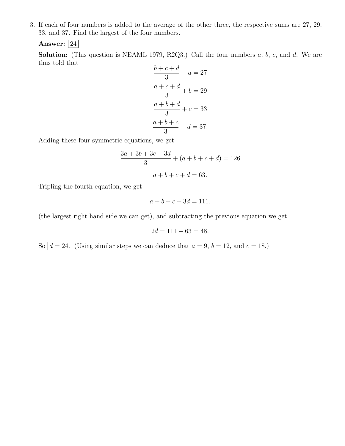3. If each of four numbers is added to the average of the other three, the respective sums are 27, 29, 33, and 37. Find the largest of the four numbers.

Answer:  $\boxed{24}$ 

Solution: (This question is NEAML 1979, R2Q3.) Call the four numbers *a*, *b*, *c*, and *d*. We are thus told that *b* + *c* + *d*

$$
\frac{b+c+d}{3} + a = 27
$$

$$
\frac{a+c+d}{3} + b = 29
$$

$$
\frac{a+b+d}{3} + c = 33
$$

$$
\frac{a+b+c}{3} + d = 37.
$$

Adding these four symmetric equations, we get

$$
\frac{3a + 3b + 3c + 3d}{3} + (a + b + c + d) = 126
$$

$$
a + b + c + d = 63.
$$

Tripling the fourth equation, we get

$$
a + b + c + 3d = 111.
$$

(the largest right hand side we can get), and subtracting the previous equation we get

$$
2d = 111 - 63 = 48.
$$

So  $d = 24$ . (Using similar steps we can deduce that  $a = 9$ ,  $b = 12$ , and  $c = 18$ .)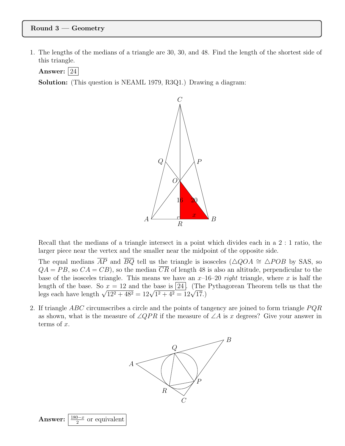#### Round 3 — Geometry

1. The lengths of the medians of a triangle are 30, 30, and 48. Find the length of the shortest side of this triangle.

Answer:  $|24|$ 

Solution: (This question is NEAML 1979, R3Q1.) Drawing a diagram:



Recall that the medians of a triangle intersect in a point which divides each in a 2 : 1 ratio, the larger piece near the vertex and the smaller near the midpoint of the opposite side.

The equal medians  $\overline{AP}$  and  $\overline{BQ}$  tell us the triangle is isosceles ( $\triangle QOA \cong \triangle POB$  by SAS, so  $QA = PB$ , so  $CA = CB$ ), so the median  $\overline{CR}$  of length 48 is also an altitude, perpendicular to the base of the isosceles triangle. This means we have an  $x$ –16–20 *right* triangle, where x is half the length of the base. So  $x = 12$  and the base is  $\boxed{24}$ . (The Pythagorean Theorem tells us that the legs each have length  $\sqrt{12^2 + 48^2} = 12\sqrt{1^2 + 4^2} = 12\sqrt{17}$ .)

2. If triangle *ABC* circumscribes a circle and the points of tangency are joined to form triangle *P QR* as shown, what is the measure of  $\angle QPR$  if the measure of  $\angle A$  is *x* degrees? Give your answer in terms of *x*.

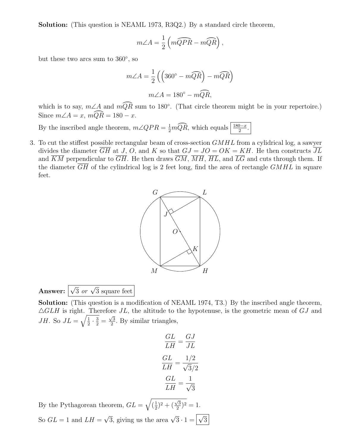Solution: (This question is NEAML 1973, R3Q2.) By a standard circle theorem,

$$
m\angle A = \frac{1}{2} \left( m\widehat{QPR} - m\widehat{QR} \right),
$$

but these two arcs sum to  $360^{\circ}$ , so

$$
m\angle A = \frac{1}{2} \left( \left( 360^\circ - m\widehat{QR} \right) - m\widehat{QR} \right)
$$

$$
m\angle A = 180^\circ - m\widehat{QR},
$$

which is to say,  $m\angle A$  and  $m\widehat{QR}$  sum to 180°. (That circle theorem might be in your repertoire.) Since  $m\angle A = x$ ,  $m\widehat{QR} = 180 - x$ .

By the inscribed angle theorem,  $m\angle QPR = \frac{1}{2}mQR$ , which equals  $\frac{180-x}{2}$ .

3. To cut the stiffest possible rectangular beam of cross-section *GMHL* from a cylidrical log, a sawyer divides the diameter  $\overline{GH}$  at *J*, *O*, and *K* so that  $GJ = JO = OK = KH$ . He then constructs  $\overline{JL}$ and  $\overline{KM}$  perpendicular to  $\overline{GH}$ . He then draws  $\overline{GM}$ ,  $\overline{MH}$ ,  $\overline{HL}$ , and  $\overline{LG}$  and cuts through them. If the diameter  $\overline{GH}$  of the cylindrical log is 2 feet long, find the area of rectangle  $GMHL$  in square feet.



Answer:  $\sqrt{3}$  *or*  $\sqrt{3}$  square feet

Solution: (This question is a modification of NEAML 1974, T3.) By the inscribed angle theorem, 4*GLH* is right. Therefore *JL*, the altitude to the hypotenuse, is the geometric mean of *GJ* and *JH*. So  $JL = \sqrt{\frac{1}{2} \cdot \frac{3}{2}} = \frac{\sqrt{3}}{2}$ . By similar triangles,

$$
\frac{GL}{LH} = \frac{GJ}{JL}
$$

$$
\frac{GL}{LH} = \frac{1/2}{\sqrt{3}/2}
$$

$$
\frac{GL}{LH} = \frac{1}{\sqrt{3}}
$$

By the Pythagorean theorem, *GL* =  $\sqrt{(\frac{1}{2})^2 + (\frac{\sqrt{3}}{2})^2} = 1.$ So  $GL = 1$  and  $LH = \sqrt{3}$ , giving us the area  $\sqrt{3} \cdot 1 = \sqrt{3}$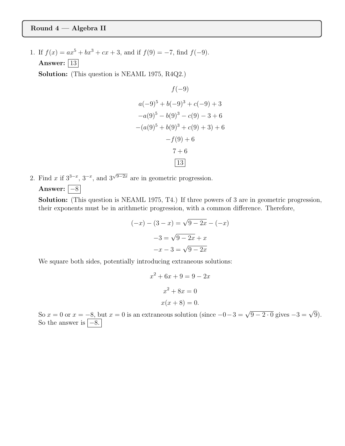#### Round 4 — Algebra II

1. If  $f(x) = ax^5 + bx^3 + cx + 3$ , and if  $f(9) = -7$ , find  $f(-9)$ . Answer:  $|13|$ 

Solution: (This question is NEAML 1975, R4Q2.)

$$
f(-9)
$$
  
\n
$$
a(-9)^5 + b(-9)^3 + c(-9) + 3
$$
  
\n
$$
-a(9)^5 - b(9)^3 - c(9) - 3 + 6
$$
  
\n
$$
-(a(9)^5 + b(9)^3 + c(9) + 3) + 6
$$
  
\n
$$
-f(9) + 6
$$
  
\n
$$
7 + 6
$$
  
\n13

2. Find *x* if  $3^{3-x}$ ,  $3^{-x}$ , and  $3^{\sqrt{9-2x}}$  are in geometric progression. Answer:  $\overline{\phantom{a}}$  –8

Solution: (This question is NEAML 1975, T4.) If three powers of 3 are in geometric progression, their exponents must be in arithmetic progression, with a common difference. Therefore,

$$
(-x) - (3 - x) = \sqrt{9 - 2x} - (-x)
$$

$$
-3 = \sqrt{9 - 2x} + x
$$

$$
-x - 3 = \sqrt{9 - 2x}
$$

We square both sides, potentially introducing extraneous solutions:

$$
x2 + 6x + 9 = 9 - 2x
$$

$$
x2 + 8x = 0
$$

$$
x(x + 8) = 0.
$$

So  $x = 0$  or  $x = -8$ , but  $x = 0$  is an extraneous solution (since  $-0-3 = \sqrt{9-2 \cdot 0}$  gives  $-3 = \sqrt{9}$ ). So the answer is  $\boxed{-8}$ .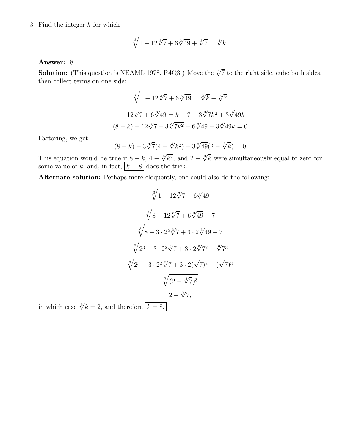#### 3. Find the integer *k* for which

$$
\sqrt[3]{1 - 12\sqrt[3]{7} + 6\sqrt[3]{49}} + \sqrt[3]{7} = \sqrt[3]{k}.
$$

Answer:  $\boxed{8}$ 

**Solution:** (This question is NEAML 1978, R4Q3.) Move the  $\sqrt[3]{7}$  to the right side, cube both sides, then collect terms on one side:

$$
\sqrt[3]{1 - 12\sqrt[3]{7} + 6\sqrt[3]{49}} = \sqrt[3]{k} - \sqrt[3]{7}
$$

$$
1 - 12\sqrt[3]{7} + 6\sqrt[3]{49} = k - 7 - 3\sqrt[3]{7k^2} + 3\sqrt[3]{49k}
$$

$$
(8 - k) - 12\sqrt[3]{7} + 3\sqrt[3]{7k^2} + 6\sqrt[3]{49} - 3\sqrt[3]{49k} = 0
$$

Factoring, we get

$$
(8-k) - 3\sqrt[3]{7}(4 - \sqrt[3]{k^2}) + 3\sqrt[3]{49}(2 - \sqrt[3]{k}) = 0
$$

This equation would be true if  $8 - k$ ,  $4 - \sqrt[3]{k^2}$ , and  $2 - \sqrt[3]{k}$  were simultaneously equal to zero for some value of k; and, in fact,  $|k = 8|$  does the trick.

Alternate solution: Perhaps more eloquently, one could also do the following:

$$
\sqrt[3]{1 - 12\sqrt[3]{7} + 6\sqrt[3]{49}}
$$

$$
\sqrt[3]{8 - 12\sqrt[3]{7} + 6\sqrt[3]{49} - 7}
$$

$$
\sqrt[3]{8 - 3 \cdot 2^2\sqrt[3]{7} + 3 \cdot 2\sqrt[3]{49} - 7}
$$

$$
\sqrt[3]{2^3 - 3 \cdot 2^2\sqrt[3]{7} + 3 \cdot 2\sqrt[3]{7^2} - \sqrt[3]{7^3}}
$$

$$
\sqrt[3]{2^3 - 3 \cdot 2^2\sqrt[3]{7} + 3 \cdot 2(\sqrt[3]{7})^2 - (\sqrt[3]{7})^3}
$$

$$
\sqrt[3]{(2 - \sqrt[3]{7})^3}
$$

$$
2 - \sqrt[3]{7},
$$

in which case  $\sqrt[3]{k} = 2$ , and therefore  $k = 8$ .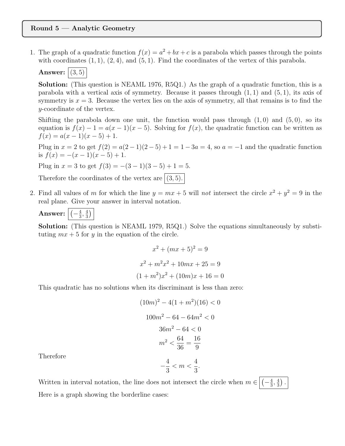#### Round 5 — Analytic Geometry

1. The graph of a quadratic function  $f(x) = a^2 + bx + c$  is a parabola which passes through the points with coordinates (1*,* 1), (2*,* 4), and (5*,* 1). Find the coordinates of the vertex of this parabola.

### **Answer:**  $(3, 5)$

Solution: (This question is NEAML 1976, R5Q1.) As the graph of a quadratic function, this is a parabola with a vertical axis of symmetry. Because it passes through (1*,* 1) and (5*,* 1), its axis of symmetry is  $x = 3$ . Because the vertex lies on the axis of symmetry, all that remains is to find the *y*-coordinate of the vertex.

Shifting the parabola down one unit, the function would pass through (1*,* 0) and (5*,* 0), so its equation is  $f(x) - 1 = a(x - 1)(x - 5)$ . Solving for  $f(x)$ , the quadratic function can be written as  $f(x) = a(x-1)(x-5) + 1.$ 

Plug in  $x = 2$  to get  $f(2) = a(2-1)(2-5) + 1 = 1-3a = 4$ , so  $a = -1$  and the quadratic function is  $f(x) = -(x-1)(x-5) + 1$ .

Plug in  $x = 3$  to get  $f(3) = -(3 - 1)(3 - 5) + 1 = 5$ .

Therefore the coordinates of the vertex are  $(3, 5)$ .

2. Find all values of *m* for which the line  $y = mx + 5$  will *not* intersect the circle  $x^2 + y^2 = 9$  in the real plane. Give your answer in interval notation.

Answer: 
$$
\boxed{\left(-\frac{4}{3}, \frac{4}{3}\right)}
$$

Solution: (This question is NEAML 1979, R5Q1.) Solve the equations simultaneously by substituting  $mx + 5$  for *y* in the equation of the circle.

$$
x^{2} + (mx + 5)^{2} = 9
$$

$$
x^{2} + m^{2}x^{2} + 10mx + 25 = 9
$$

$$
(1 + m^{2})x^{2} + (10m)x + 16 = 0
$$

This quadratic has no solutions when its discriminant is less than zero:

$$
(10m)^{2} - 4(1 + m^{2})(16) < 0
$$
\n
$$
100m^{2} - 64 - 64m^{2} < 0
$$
\n
$$
36m^{2} - 64 < 0
$$
\n
$$
m^{2} < \frac{64}{36} = \frac{16}{9}
$$
\n
$$
-\frac{4}{3} < m < \frac{4}{3}.
$$

Therefore

Written in interval notation, the line does not intersect the circle when  $m \in$  $-\frac{4}{3},\frac{4}{3}\big)$  . Here is a graph showing the borderline cases: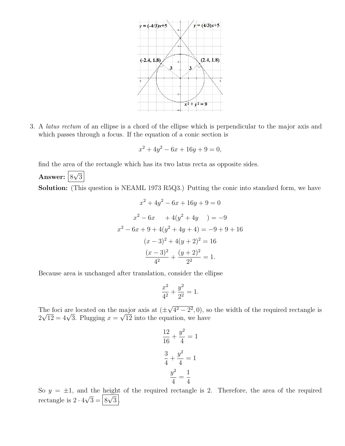

3. A *latus rectum* of an ellipse is a chord of the ellipse which is perpendicular to the major axis and which passes through a focus. If the equation of a conic section is

$$
x^2 + 4y^2 - 6x + 16y + 9 = 0,
$$

find the area of the rectangle which has its two latus recta as opposite sides.

Answer:  $\boxed{8\sqrt{3}}$ 

Solution: (This question is NEAML 1973 R5Q3.) Putting the conic into standard form, we have

$$
x^{2} + 4y^{2} - 6x + 16y + 9 = 0
$$
  
\n
$$
x^{2} - 6x + 4(y^{2} + 4y) = -9
$$
  
\n
$$
x^{2} - 6x + 9 + 4(y^{2} + 4y + 4) = -9 + 9 + 16
$$
  
\n
$$
(x - 3)^{2} + 4(y + 2)^{2} = 16
$$
  
\n
$$
\frac{(x - 3)^{2}}{4^{2}} + \frac{(y + 2)^{2}}{2^{2}} = 1.
$$

Because area is unchanged after translation, consider the ellipse

$$
\frac{x^2}{4^2} + \frac{y^2}{2^2} = 1.
$$

The foci are located on the major axis at  $(\pm \sqrt{4^2 - 2^2}, 0)$ , so the width of the required rectangle is  $2\sqrt{12} = 4\sqrt{3}$ . Plugging  $x = \sqrt{12}$  into the equation, we have

$$
\frac{12}{16} + \frac{y^2}{4} = 1
$$

$$
\frac{3}{4} + \frac{y^2}{4} = 1
$$

$$
\frac{y^2}{4} = \frac{1}{4}
$$

So  $y = \pm 1$ , and the height of the required rectangle is 2. Therefore, the area of the required rectangle is  $2 \cdot 4\sqrt{3} = 8\sqrt{3}$ .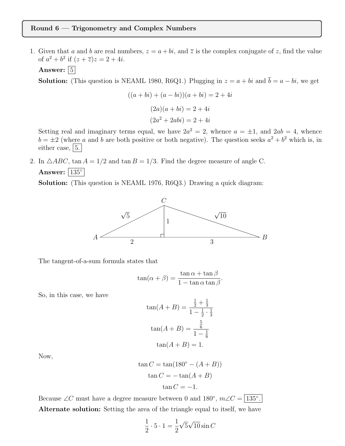#### Round 6 — Trigonometry and Complex Numbers

1. Given that *a* and *b* are real numbers,  $z = a + bi$ , and  $\overline{z}$  is the complex conjugate of *z*, find the value of  $a^2 + b^2$  if  $(z + \overline{z})z = 2 + 4i$ .

Answer:  $|5|$ 

**Solution:** (This question is NEAML 1980, R6Q1.) Plugging in  $z = a + bi$  and  $\overline{b} = a - bi$ , we get

$$
((a+bi) + (a-bi))(a+bi) = 2+4i
$$
  

$$
(2a)(a+bi) = 2+4i
$$
  

$$
(2a2+2abi) = 2+4i
$$

Setting real and imaginary terms equal, we have  $2a^2 = 2$ , whence  $a = \pm 1$ , and  $2ab = 4$ , whence  $b = \pm 2$  (where *a* and *b* are both positive or both negative). The question seeks  $a^2 + b^2$  which is, in either case,  $|5$ .

2. In  $\triangle ABC$ ,  $\tan A = 1/2$  and  $\tan B = 1/3$ . Find the degree measure of angle C. Answer:  $|135^\circ|$ 

Solution: (This question is NEAML 1976, R6Q3.) Drawing a quick diagram:



The tangent-of-a-sum formula states that

$$
\tan(\alpha + \beta) = \frac{\tan \alpha + \tan \beta}{1 - \tan \alpha \tan \beta}.
$$

So, in this case, we have

$$
\tan(A+B) = \frac{\frac{1}{2} + \frac{1}{3}}{1 - \frac{1}{2} \cdot \frac{1}{3}}
$$

$$
\tan(A+B) = \frac{\frac{5}{6}}{1 - \frac{1}{6}}
$$

$$
\tan(A+B) = 1.
$$

Now,

$$
\tan C = \tan(180^\circ - (A + B))
$$

$$
\tan C = -\tan(A + B)
$$

$$
\tan C = -1.
$$

Because  $\angle C$  must have a degree measure between 0 and 180°,  $m\angle C = |135$ °. Alternate solution: Setting the area of the triangle equal to itself, we have

$$
\frac{1}{2} \cdot 5 \cdot 1 = \frac{1}{2} \sqrt{5} \sqrt{10} \sin C
$$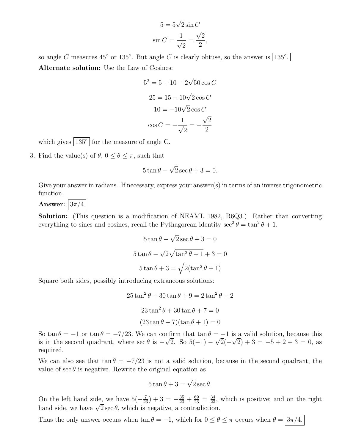$$
5 = 5\sqrt{2}\sin C
$$

$$
\sin C = \frac{1}{\sqrt{2}} = \frac{\sqrt{2}}{2},
$$

so angle C measures  $45^{\circ}$  or  $135^{\circ}$ . But angle C is clearly obtuse, so the answer is  $135^{\circ}$ . Alternate solution: Use the Law of Cosines:

$$
52 = 5 + 10 - 2\sqrt{50}\cos C
$$

$$
25 = 15 - 10\sqrt{2}\cos C
$$

$$
10 = -10\sqrt{2}\cos C
$$

$$
\cos C = -\frac{1}{\sqrt{2}} = -\frac{\sqrt{2}}{2}
$$

which gives  $135^{\circ}$  for the measure of angle C.

3. Find the value(s) of  $\theta$ ,  $0 \le \theta \le \pi$ , such that

$$
5\tan\theta - \sqrt{2}\sec\theta + 3 = 0.
$$

Give your answer in radians. If necessary, express your answer(s) in terms of an inverse trigonometric function.

Answer:  $3\pi/4$ 

Solution: (This question is a modification of NEAML 1982, R6Q3.) Rather than converting everything to sines and cosines, recall the Pythagorean identity  $\sec^2 \theta = \tan^2 \theta + 1$ .

$$
5 \tan \theta - \sqrt{2} \sec \theta + 3 = 0
$$

$$
5 \tan \theta - \sqrt{2} \sqrt{\tan^2 \theta + 1} + 3 = 0
$$

$$
5 \tan \theta + 3 = \sqrt{2(\tan^2 \theta + 1)}
$$

Square both sides, possibly introducing extraneous solutions:

 $25\tan^2\theta + 30\tan\theta + 9 = 2\tan^2\theta + 2$  $23\tan^2\theta + 30\tan\theta + 7=0$  $(23 \tan \theta + 7)(\tan \theta + 1) = 0$ 

So tan  $\theta = -1$  or tan  $\theta = -7/23$ . We can confirm that tan  $\theta = -1$  is a valid solution, because this is in the second quadrant, where  $\sec \theta$  is  $-\sqrt{2}$ . So  $5(-1) - \sqrt{2}(-\sqrt{2}) + 3 = -5 + 2 + 3 = 0$ , as required.

We can also see that  $\tan \theta = -7/23$  is not a valid solution, because in the second quadrant, the value of sec  $\theta$  is negative. Rewrite the original equation as

$$
5\tan\theta + 3 = \sqrt{2}\sec\theta.
$$

On the left hand side, we have  $5(-\frac{7}{23})+3=-\frac{35}{23}+\frac{69}{23}=\frac{34}{23}$ , which is positive; and on the right hand side, we have  $\sqrt{2} \sec \theta$ , which is negative, a contradiction.

Thus the only answer occurs when  $\tan \theta = -1$ , which for  $0 \le \theta \le \pi$  occurs when  $\theta = \sqrt{3\pi/4}$ .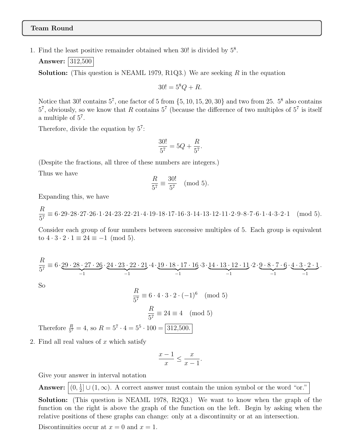#### Team Round

1. Find the least positive remainder obtained when  $30!$  is divided by  $5^8$ .

**Answer:** 312,500

Solution: (This question is NEAML 1979, R1Q3.) We are seeking *R* in the equation

$$
30! = 5^8 Q + R.
$$

Notice that 30! contains  $5^7$ , one factor of 5 from  $\{5, 10, 15, 20, 30\}$  and two from 25.  $5^8$  also contains  $5^7$ , obviously, so we know that *R* contains  $5^7$  (because the difference of two multiples of  $5^7$  is itself a multiple of 5<sup>7</sup>.

Therefore, divide the equation by  $5^7$ :

$$
\frac{30!}{5^7} = 5Q + \frac{R}{5^7}.
$$

(Despite the fractions, all three of these numbers are integers.)

Thus we have

$$
\frac{R}{5^7} \equiv \frac{30!}{5^7} \pmod{5}.
$$

Expanding this, we have

*R*  $\frac{16}{57} \equiv 6.29.28.27.26.1.24.23.22.21.4.19.18.17.16.3.14.13.12.11.2.9.8.7.6.1.4.3.2.1 \pmod{5}.$ 

Consider each group of four numbers between successive multiples of 5. Each group is equivalent to  $4 \cdot 3 \cdot 2 \cdot 1 \equiv 24 \equiv -1 \pmod{5}$ .

$$
\frac{R}{5^7} \equiv 6 \cdot \underbrace{29 \cdot 28 \cdot 27 \cdot 26}_{-1} \cdot \underbrace{24 \cdot 23 \cdot 22 \cdot 21}_{-1} \cdot 4 \cdot \underbrace{19 \cdot 18 \cdot 17 \cdot 16}_{-1} \cdot 3 \cdot \underbrace{14 \cdot 13 \cdot 12 \cdot 11}_{-1} \cdot 2 \cdot \underbrace{9 \cdot 8 \cdot 7 \cdot 6}_{-1} \cdot \underbrace{4 \cdot 3 \cdot 2 \cdot 1}_{-1}.
$$

So

$$
\frac{R}{5^7} \equiv 6 \cdot 4 \cdot 3 \cdot 2 \cdot (-1)^6 \pmod{5}
$$

$$
\frac{R}{5^7} \equiv 24 \equiv 4 \pmod{5}
$$
Therefore  $\frac{R}{5^7} = 4$ , so  $R = 5^7 \cdot 4 = 5^5 \cdot 100 = \boxed{312,500}$ .

2. Find all real values of *x* which satisfy

$$
\frac{x-1}{x} \le \frac{x}{x-1}.
$$

Give your answer in interval notation

**Answer:**  $(0, \frac{1}{2}] \cup (1, \infty)$ . A correct answer must contain the union symbol or the word "or."

Solution: (This question is NEAML 1978, R2Q3.) We want to know when the graph of the function on the right is above the graph of the function on the left. Begin by asking when the relative positions of these graphs can change: only at a discontinuity or at an intersection.

Discontinuities occur at  $x = 0$  and  $x = 1$ .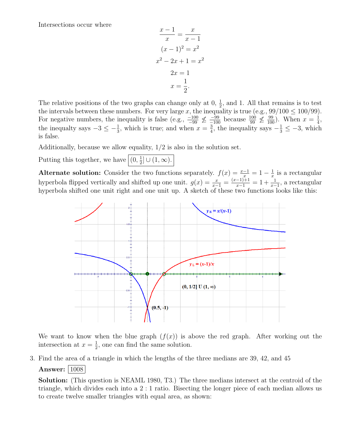Intersections occur where

$$
\frac{x-1}{x} = \frac{x}{x-1}
$$

$$
(x-1)^2 = x^2
$$

$$
x^2 - 2x + 1 = x^2
$$

$$
2x = 1
$$

$$
x = \frac{1}{2}.
$$

The relative positions of the two graphs can change only at  $0, \frac{1}{2}$ , and 1. All that remains is to test the intervals between these numbers. For very large *x*, the inequality is true (e.g.,  $99/100 \le 100/99$ ). For negative numbers, the inequality is false (e.g.,  $\frac{-100}{-99} \nleq \frac{-99}{-100}$  because  $\frac{100}{99} \nleq \frac{99}{100}$ ). When  $x = \frac{1}{4}$ , the inequalty says  $-3 \leq -\frac{1}{3}$ , which is true; and when  $x = \frac{3}{4}$ , the inequality says  $-\frac{1}{3} \leq -3$ , which is false.

Additionally, because we allow equality, 1/2 is also in the solution set.

Putting this together, we have  $(0, \frac{1}{2}] \cup (1, \infty)$ .

Alternate solution: Consider the two functions separately.  $f(x) = \frac{x-1}{x} = 1 - \frac{1}{x}$  is a rectangular hyperbola flipped vertically and shifted up one unit.  $g(x) = \frac{x}{x-1} = \frac{(x-1)+1}{x-1} = 1 + \frac{1}{x-1}$ , a rectangular hyperbola shifted one unit right and one unit up. A sketch of these two functions looks like this:



We want to know when the blue graph  $(f(x))$  is above the red graph. After working out the intersection at  $x = \frac{1}{2}$ , one can find the same solution.

3. Find the area of a triangle in which the lengths of the three medians are 39, 42, and 45

#### Answer:  $|1008|$

Solution: (This question is NEAML 1980, T3.) The three medians intersect at the centroid of the triangle, which divides each into a 2 : 1 ratio. Bisecting the longer piece of each median allows us to create twelve smaller triangles with equal area, as shown: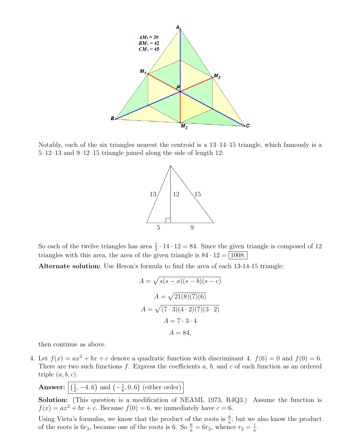

Notably, each of the six triangles nearest the centroid is a 13–14–15 triangle, which famously is a 5–12–13 and 9–12–15 triangle joined along the side of length 12:



So each of the twelve triangles has area  $\frac{1}{2} \cdot 14 \cdot 12 = 84$ . Since the given triangle is composed of 12 triangles with this area, the area of the given triangle is  $84 \cdot 12 = |1008|$ .

Alternate solution: Use Heron's formula to find the area of each 13-14-15 triangle:

$$
A = \sqrt{s(s-a)(s-b)(s-c)}
$$
  
\n
$$
A = \sqrt{21(8)(7)(6)}
$$
  
\n
$$
A = \sqrt{(7 \cdot 3)(4 \cdot 2)(7)(3 \cdot 2)}
$$
  
\n
$$
A = 7 \cdot 3 \cdot 4
$$
  
\n
$$
A = 84,
$$

then continue as above.

4. Let  $f(x) = ax^2 + bx + c$  denote a quadratic function with discriminant 4.  $f(6) = 0$  and  $f(0) = 6$ . There are two such functions  $f$ . Express the coefficients  $a, b$ , and  $c$  of each function as an ordered triple (*a, b, c*).

**Answer:**  $\left( \frac{1}{2}, -4, 6 \right)$  and  $\left( -\frac{1}{6}, 0, 6 \right)$  (either order)

Solution: (This question is a modification of NEAML 1973, R4Q3.) Assume the function is  $f(x) = ax^2 + bx + c$ . Because  $f(0) = 6$ , we immediately have  $c = 6$ .

Using Vieta's formulas, we know that the product of the roots is  $\frac{6}{a}$ ; but we also know the product of the roots is  $6r_2$ , because one of the roots is 6. So  $\frac{6}{a} = 6r_2$ , whence  $r_2 = \frac{1}{a}$ .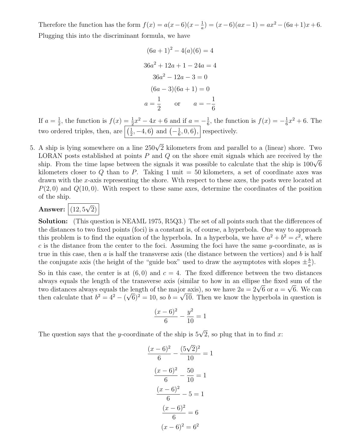Therefore the function has the form  $f(x) = a(x-6)(x-\frac{1}{a}) = (x-6)(ax-1) = ax^2 - (6a+1)x + 6$ . Plugging this into the discriminant formula, we have

$$
(6a + 1)2 - 4(a)(6) = 4
$$
  
\n
$$
36a2 + 12a + 1 - 24a = 4
$$
  
\n
$$
36a2 - 12a - 3 = 0
$$
  
\n
$$
(6a - 3)(6a + 1) = 0
$$
  
\n
$$
a = \frac{1}{2} \quad \text{or} \quad a = -\frac{1}{6}
$$

If  $a = \frac{1}{2}$ , the function is  $f(x) = \frac{1}{2}x^2 - 4x + 6$  and if  $a = -\frac{1}{6}$ , the function is  $f(x) = -\frac{1}{6}x^2 + 6$ . The two ordered triples, then, are  $\left| \left( \frac{1}{2}, -4, 6 \right) \right|$  and  $\left( -\frac{1}{6}, 0, 6 \right)$ , respectively.

5. A ship is lying somewhere on a line  $250\sqrt{2}$  kilometers from and parallel to a (linear) shore. Two LORAN posts established at points *P* and *Q* on the shore emit signals which are received by the ship. From the time lapse between the signals it was possible to calculate that the ship is  $100\sqrt{6}$ kilometers closer to  $Q$  than to  $P$ . Taking 1 unit  $=$  50 kilometers, a set of coordinate axes was drawn with the *x*-axis representing the shore. Wth respect to these axes, the posts were located at  $P(2,0)$  and  $Q(10,0)$ . With respect to these same axes, determine the coordinates of the position of the ship.

### Answer:  $\boxed{(12,5\sqrt{2})}$

Solution: (This question is NEAML 1975, R5Q3.) The set of all points such that the differences of the distances to two fixed points (foci) is a constant is, of course, a hyperbola. One way to approach this problem is to find the equation of the hyperbola. In a hyperbola, we have  $a^2 + b^2 = c^2$ , where *c* is the distance from the center to the foci. Assuming the foci have the same *y*-coordinate, as is true in this case, then *a* is half the transverse axis (the distance between the vertices) and *b* is half the conjugate axis (the height of the "guide box" used to draw the asymptotes with slopes  $\pm \frac{b}{a}$ ).

So in this case, the center is at  $(6, 0)$  and  $c = 4$ . The fixed difference between the two distances always equals the length of the transverse axis (similar to how in an ellipse the fixed sum of the two distances always equals the length of the major axis), so we have  $2a = 2\sqrt{6}$  or  $a = \sqrt{6}$ . We can then calculate that  $b^2 = 4^2 - (\sqrt{6})^2 = 10$ , so  $b = \sqrt{10}$ . Then we know the hyperbola in question is

$$
\frac{(x-6)^2}{6} - \frac{y^2}{10} = 1
$$

The question says that the *y*-coordinate of the ship is  $5\sqrt{2}$ , so plug that in to find *x*:

$$
\frac{(x-6)^2}{6} - \frac{(5\sqrt{2})^2}{10} = 1
$$

$$
\frac{(x-6)^2}{6} - \frac{50}{10} = 1
$$

$$
\frac{(x-6)^2}{6} - 5 = 1
$$

$$
\frac{(x-6)^2}{6} = 6
$$

$$
(x-6)^2 = 6^2
$$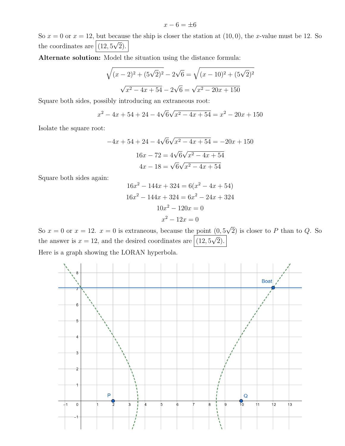$$
x - 6 = \pm 6
$$

So  $x = 0$  or  $x = 12$ , but because the ship is closer the station at  $(10, 0)$ , the *x*-value must be 12. So the coordinates are  $(12, 5\sqrt{2})$ .

Alternate solution: Model the situation using the distance formula:

$$
\sqrt{(x-2)^2 + (5\sqrt{2})^2} - 2\sqrt{6} = \sqrt{(x-10)^2 + (5\sqrt{2})^2}
$$

$$
\sqrt{x^2 - 4x + 54} - 2\sqrt{6} = \sqrt{x^2 - 20x + 150}
$$

Square both sides, possibly introducing an extraneous root:

$$
x^{2} - 4x + 54 + 24 - 4\sqrt{6}\sqrt{x^{2} - 4x + 54} = x^{2} - 20x + 150
$$

Isolate the square root:

$$
-4x + 54 + 24 - 4\sqrt{6}\sqrt{x^2 - 4x + 54} = -20x + 150
$$

$$
16x - 72 = 4\sqrt{6}\sqrt{x^2 - 4x + 54}
$$

$$
4x - 18 = \sqrt{6}\sqrt{x^2 - 4x + 54}
$$

Square both sides again:

$$
16x2 - 144x + 324 = 6(x2 - 4x + 54)
$$
  

$$
16x2 - 144x + 324 = 6x2 - 24x + 324
$$
  

$$
10x2 - 120x = 0
$$
  

$$
x2 - 12x = 0
$$

So  $x = 0$  or  $x = 12$ .  $x = 0$  is extraneous, because the point  $(0, 5\sqrt{2})$  is closer to P than to Q. So the answer is  $x = 12$ , and the desired coordinates are  $(12, 5\sqrt{2})$ .

Here is a graph showing the LORAN hyperbola.